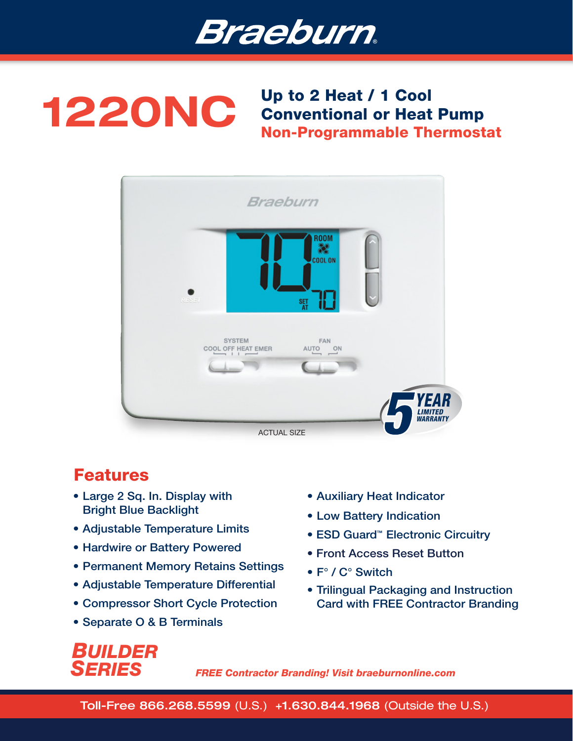

## 1220NC Up to 2 Heat / 1 Cool Conventional or Heat Pump Non-Programmable Thermostat



### Features

- Large 2 Sq. In. Display with Bright Blue Backlight
- Adjustable Temperature Limits
- Hardwire or Battery Powered
- Permanent Memory Retains Settings
- Adjustable Temperature Differential
- Compressor Short Cycle Protection
- Separate O & B Terminals
- Auxiliary Heat Indicator
- Low Battery Indication
- ESD Guard<sup>™</sup> Electronic Circuitry
- Front Access Reset Button
- F° / C° Switch
- Trilingual Packaging and Instruction Card with FREE Contractor Branding

# *BUILDER SERIES*

*FREE Contractor Branding! Visit braeburnonline.com*

Toll-Free 866.268.5599 (U.S.) +1.630.844.1968 (Outside the U.S.)